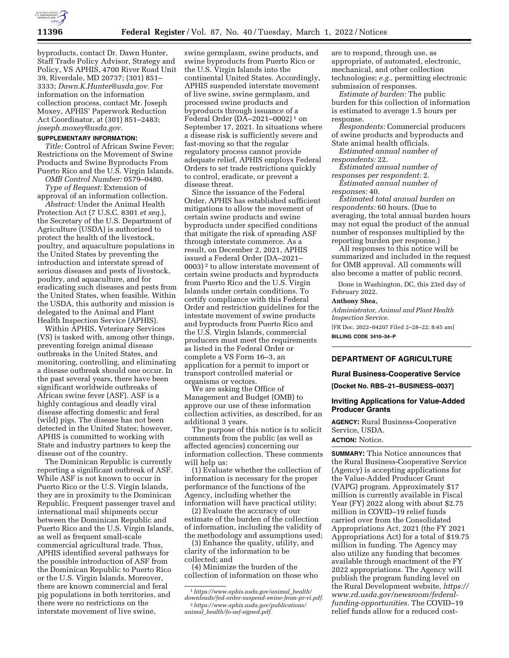

byproducts, contact Dr. Dawn Hunter, Staff Trade Policy Advisor, Strategy and Policy, VS APHIS, 4700 River Road Unit 39, Riverdale, MD 20737; (301) 851– 3333; *[Dawn.K.Hunter@usda.gov.](mailto:Dawn.K.Hunter@usda.gov)* For information on the information collection process, contact Mr. Joseph Moxey, APHIS' Paperwork Reduction Act Coordinator, at (301) 851–2483; *[joseph.moxey@usda.gov.](mailto:joseph.moxey@usda.gov)* 

### **SUPPLEMENTARY INFORMATION:**

*Title:* Control of African Swine Fever; Restrictions on the Movement of Swine Products and Swine Byproducts From Puerto Rico and the U.S. Virgin Islands.

*OMB Control Number:* 0579–0480. *Type of Request:* Extension of

approval of an information collection. *Abstract:* Under the Animal Health

Protection Act (7 U.S.C. 8301 *et seq.*), the Secretary of the U.S. Department of Agriculture (USDA) is authorized to protect the health of the livestock, poultry, and aquaculture populations in the United States by preventing the introduction and interstate spread of serious diseases and pests of livestock, poultry, and aquaculture, and for eradicating such diseases and pests from the United States, when feasible. Within the USDA, this authority and mission is delegated to the Animal and Plant Health Inspection Service (APHIS).

Within APHIS, Veterinary Services (VS) is tasked with, among other things, preventing foreign animal disease outbreaks in the United States, and monitoring, controlling, and eliminating a disease outbreak should one occur. In the past several years, there have been significant worldwide outbreaks of African swine fever (ASF). ASF is a highly contagious and deadly viral disease affecting domestic and feral (wild) pigs. The disease has not been detected in the United States; however, APHIS is committed to working with State and industry partners to keep the disease out of the country.

The Dominican Republic is currently reporting a significant outbreak of ASF. While ASF is not known to occur in Puerto Rico or the U.S. Virgin Islands, they are in proximity to the Dominican Republic. Frequent passenger travel and international mail shipments occur between the Dominican Republic and Puerto Rico and the U.S. Virgin Islands, as well as frequent small-scale commercial agricultural trade. Thus, APHIS identified several pathways for the possible introduction of ASF from the Dominican Republic to Puerto Rico or the U.S. Virgin Islands. Moreover, there are known commercial and feral pig populations in both territories, and there were no restrictions on the interstate movement of live swine,

swine germplasm, swine products, and swine byproducts from Puerto Rico or the U.S. Virgin Islands into the continental United States. Accordingly, APHIS suspended interstate movement of live swine, swine germplasm, and processed swine products and byproducts through issuance of a Federal Order (DA–2021–0002) 1 on September 17, 2021. In situations where a disease risk is sufficiently severe and fast-moving so that the regular regulatory process cannot provide adequate relief, APHIS employs Federal Orders to set trade restrictions quickly to control, eradicate, or prevent a disease threat.

Since the issuance of the Federal Order, APHIS has established sufficient mitigations to allow the movement of certain swine products and swine byproducts under specified conditions that mitigate the risk of spreading ASF through interstate commerce. As a result, on December 2, 2021, APHIS issued a Federal Order (DA–2021– 0003) 2 to allow interstate movement of certain swine products and byproducts from Puerto Rico and the U.S. Virgin Islands under certain conditions. To certify compliance with this Federal Order and restriction guidelines for the intestate movement of swine products and byproducts from Puerto Rico and the U.S. Virgin Islands, commercial producers must meet the requirements as listed in the Federal Order or complete a VS Form 16–3, an application for a permit to import or transport controlled material or organisms or vectors.

We are asking the Office of Management and Budget (OMB) to approve our use of these information collection activities, as described, for an additional 3 years.

The purpose of this notice is to solicit comments from the public (as well as affected agencies) concerning our information collection. These comments will help us:

(1) Evaluate whether the collection of information is necessary for the proper performance of the functions of the Agency, including whether the information will have practical utility;

(2) Evaluate the accuracy of our estimate of the burden of the collection of information, including the validity of the methodology and assumptions used;

(3) Enhance the quality, utility, and clarity of the information to be collected; and

(4) Minimize the burden of the collection of information on those who

are to respond, through use, as appropriate, of automated, electronic, mechanical, and other collection technologies; *e.g.,* permitting electronic submission of responses.

*Estimate of burden:* The public burden for this collection of information is estimated to average 1.5 hours per response.

*Respondents:* Commercial producers of swine products and byproducts and State animal health officials.

*Estimated annual number of respondents:* 22.

*Estimated annual number of responses per respondent:* 2. *Estimated annual number of* 

*responses:* 40.

*Estimated total annual burden on respondents:* 60 hours. (Due to averaging, the total annual burden hours may not equal the product of the annual number of responses multiplied by the reporting burden per response.)

All responses to this notice will be summarized and included in the request for OMB approval. All comments will also become a matter of public record.

Done in Washington, DC, this 23rd day of February 2022.

## **Anthony Shea,**

*Administrator, Animal and Plant Health Inspection Service.* 

[FR Doc. 2022–04207 Filed 2–28–22; 8:45 am] **BILLING CODE 3410–34–P** 

# **DEPARTMENT OF AGRICULTURE**

### **Rural Business-Cooperative Service**

**[Docket No. RBS–21–BUSINESS–0037]** 

# **Inviting Applications for Value-Added Producer Grants**

**AGENCY:** Rural Business-Cooperative Service, USDA. **ACTION:** Notice.

**SUMMARY:** This Notice announces that the Rural Business-Cooperative Service (Agency) is accepting applications for the Value-Added Producer Grant (VAPG) program. Approximately \$17 million is currently available in Fiscal Year (FY) 2022 along with about \$2.75 million in COVID–19 relief funds carried over from the Consolidated Appropriations Act, 2021 (the FY 2021 Appropriations Act) for a total of \$19.75 million in funding. The Agency may also utilize any funding that becomes available through enactment of the FY 2022 appropriations. The Agency will publish the program funding level on the Rural Development website, *[https://](https://www.rd.usda.gov/newsroom/federal-funding-opportunities)  [www.rd.usda.gov/newsroom/federal](https://www.rd.usda.gov/newsroom/federal-funding-opportunities)[funding-opportunities.](https://www.rd.usda.gov/newsroom/federal-funding-opportunities)* The COVID–19 relief funds allow for a reduced cost-

<sup>1</sup>*[https://www.aphis.usda.gov/animal](https://www.aphis.usda.gov/animal_health/downloads/fed-order-suspend-swine-from-pr-vi.pdf)*\_*health/ [downloads/fed-order-suspend-swine-from-pr-vi.pdf.](https://www.aphis.usda.gov/animal_health/downloads/fed-order-suspend-swine-from-pr-vi.pdf)* 2*[https://www.aphis.usda.gov/publications/](https://www.aphis.usda.gov/publications/animal_health/fo-asf-signed.pdf)  animal*\_*[health/fo-asf-signed.pdf.](https://www.aphis.usda.gov/publications/animal_health/fo-asf-signed.pdf)*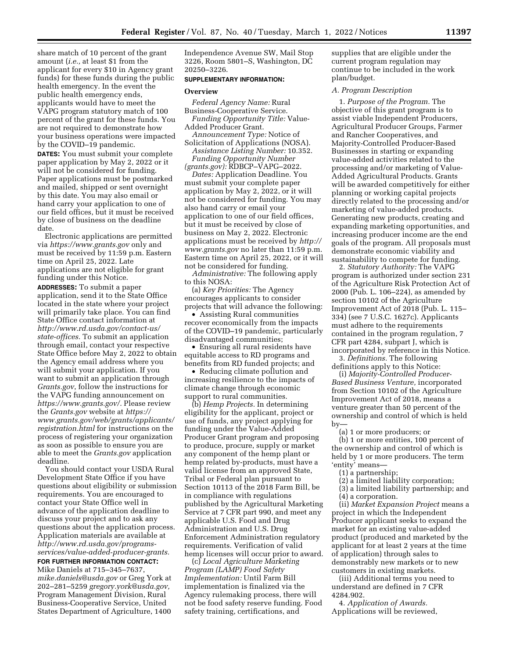share match of 10 percent of the grant amount (*i.e.,* at least \$1 from the applicant for every \$10 in Agency grant funds) for these funds during the public health emergency. In the event the public health emergency ends, applicants would have to meet the VAPG program statutory match of 100 percent of the grant for these funds. You are not required to demonstrate how your business operations were impacted by the COVID–19 pandemic.

**DATES:** You must submit your complete paper application by May 2, 2022 or it will not be considered for funding. Paper applications must be postmarked and mailed, shipped or sent overnight by this date. You may also email or hand carry your application to one of our field offices, but it must be received by close of business on the deadline date.

Electronic applications are permitted via *<https://www.grants.gov>*only and must be received by 11:59 p.m. Eastern time on April 25, 2022. Late applications are not eligible for grant funding under this Notice.

**ADDRESSES:** To submit a paper application, send it to the State Office located in the state where your project will primarily take place. You can find State Office contact information at *[http://www.rd.usda.gov/contact-us/](http://www.rd.usda.gov/contact-us/state-offices)  [state-offices.](http://www.rd.usda.gov/contact-us/state-offices)* To submit an application through email, contact your respective State Office before May 2, 2022 to obtain the Agency email address where you will submit your application. If you want to submit an application through *Grants.gov*, follow the instructions for the VAPG funding announcement on *[https://www.grants.gov/.](https://www.grants.gov/)* Please review the *[Grants.gov](https://www.grants.gov/)* website at *[https://](https://www.grants.gov/web/grants/applicants/registration.html) [www.grants.gov/web/grants/applicants/](https://www.grants.gov/web/grants/applicants/registration.html)  [registration.html](https://www.grants.gov/web/grants/applicants/registration.html)* for instructions on the process of registering your organization as soon as possible to ensure you are able to meet the *Grants.gov* application deadline.

You should contact your USDA Rural Development State Office if you have questions about eligibility or submission requirements. You are encouraged to contact your State Office well in advance of the application deadline to discuss your project and to ask any questions about the application process. Application materials are available at *[http://www.rd.usda.gov/programs](http://www.rd.usda.gov/programs-services/value-added-producer-grants)[services/value-added-producer-grants.](http://www.rd.usda.gov/programs-services/value-added-producer-grants)* 

# **FOR FURTHER INFORMATION CONTACT:**

Mike Daniels at 715–345–7637, *[mike.daniels@usda.gov](mailto:mike.daniels@usda.gov)* or Greg York at 202–281–5259 *[gregory.york@usda.gov,](mailto:gregory.york@usda.gov)*  Program Management Division, Rural Business-Cooperative Service, United States Department of Agriculture, 1400

Independence Avenue SW, Mail Stop 3226, Room 5801–S, Washington, DC 20250–3226.

### **SUPPLEMENTARY INFORMATION:**

### **Overview**

*Federal Agency Name:* Rural Business-Cooperative Service. *Funding Opportunity Title:* Value-

Added Producer Grant. *Announcement Type:* Notice of

Solicitation of Applications (NOSA). *Assistance Listing Number:* 10.352. *Funding Opportunity Number* 

*(grants.gov):* RDBCP–VAPG–2022.

*Dates:* Application Deadline. You must submit your complete paper application by May 2, 2022, or it will not be considered for funding. You may also hand carry or email your application to one of our field offices, but it must be received by close of business on May 2, 2022. Electronic applications must be received by *[http://](http://www.grants.gov)  [www.grants.gov](http://www.grants.gov)* no later than 11:59 p.m. Eastern time on April 25, 2022, or it will not be considered for funding.

*Administrative:* The following apply to this NOSA:

(a) *Key Priorities:* The Agency encourages applicants to consider projects that will advance the following:

• Assisting Rural communities recover economically from the impacts of the COVID–19 pandemic, particularly disadvantaged communities;

• Ensuring all rural residents have equitable access to RD programs and benefits from RD funded projects; and

• Reducing climate pollution and increasing resilience to the impacts of climate change through economic support to rural communities.

(b) *Hemp Projects.* In determining eligibility for the applicant, project or use of funds, any project applying for funding under the Value-Added Producer Grant program and proposing to produce, procure, supply or market any component of the hemp plant or hemp related by-products, must have a valid license from an approved State, Tribal or Federal plan pursuant to Section 10113 of the 2018 Farm Bill, be in compliance with regulations published by the Agricultural Marketing Service at 7 CFR part 990, and meet any applicable U.S. Food and Drug Administration and U.S. Drug Enforcement Administration regulatory requirements. Verification of valid hemp licenses will occur prior to award.

(c) *Local Agriculture Marketing Program (LAMP) Food Safety Implementation:* Until Farm Bill implementation is finalized via the Agency rulemaking process, there will not be food safety reserve funding. Food safety training, certifications, and

supplies that are eligible under the current program regulation may continue to be included in the work plan/budget.

### *A. Program Description*

1. *Purpose of the Program.* The objective of this grant program is to assist viable Independent Producers, Agricultural Producer Groups, Farmer and Rancher Cooperatives, and Majority-Controlled Producer-Based Businesses in starting or expanding value-added activities related to the processing and/or marketing of Value-Added Agricultural Products. Grants will be awarded competitively for either planning or working capital projects directly related to the processing and/or marketing of value-added products. Generating new products, creating and expanding marketing opportunities, and increasing producer income are the end goals of the program. All proposals must demonstrate economic viability and sustainability to compete for funding.

2. *Statutory Authority:* The VAPG program is authorized under section 231 of the Agriculture Risk Protection Act of 2000 (Pub. L. 106–224), as amended by section 10102 of the Agriculture Improvement Act of 2018 (Pub. L. 115– 334) (see 7 U.S.C. 1627c). Applicants must adhere to the requirements contained in the program regulation, 7 CFR part 4284, subpart J, which is incorporated by reference in this Notice.

3. *Definitions.* The following definitions apply to this Notice:

(i) *Majority-Controlled Producer-Based Business Venture,* incorporated from Section 10102 of the Agriculture Improvement Act of 2018, means a venture greater than 50 percent of the ownership and control of which is held by—

(a) 1 or more producers; or

(b) 1 or more entities, 100 percent of the ownership and control of which is held by 1 or more producers. The term 'entity' means—

- (1) a partnership;
- (2) a limited liability corporation;
- (3) a limited liability partnership; and
- (4) a corporation.

(ii) *Market Expansion Project* means a project in which the Independent Producer applicant seeks to expand the market for an existing value-added product (produced and marketed by the applicant for at least 2 years at the time of application) through sales to demonstrably new markets or to new customers in existing markets.

(iii) Additional terms you need to understand are defined in 7 CFR 4284.902.

4. *Application of Awards.*  Applications will be reviewed,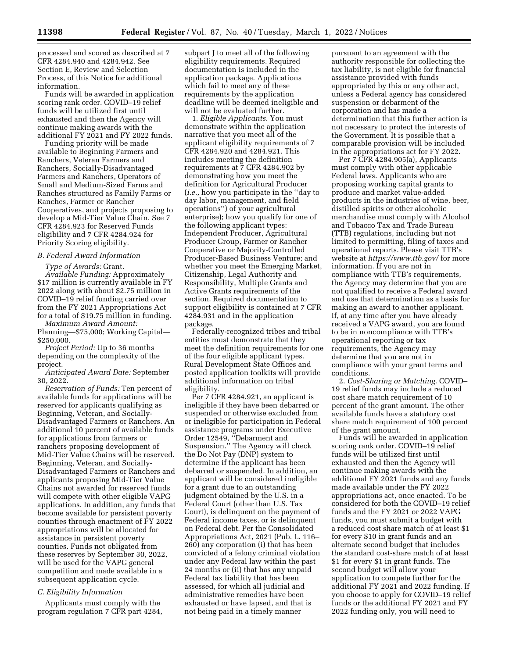processed and scored as described at 7 CFR 4284.940 and 4284.942. See Section E, Review and Selection Process, of this Notice for additional information.

Funds will be awarded in application scoring rank order. COVID–19 relief funds will be utilized first until exhausted and then the Agency will continue making awards with the additional FY 2021 and FY 2022 funds.

Funding priority will be made available to Beginning Farmers and Ranchers, Veteran Farmers and Ranchers, Socially-Disadvantaged Farmers and Ranchers, Operators of Small and Medium-Sized Farms and Ranches structured as Family Farms or Ranches, Farmer or Rancher Cooperatives, and projects proposing to develop a Mid-Tier Value Chain. See 7 CFR 4284.923 for Reserved Funds eligibility and 7 CFR 4284.924 for Priority Scoring eligibility.

# *B. Federal Award Information*

*Type of Awards:* Grant.

*Available Funding:* Approximately \$17 million is currently available in FY 2022 along with about \$2.75 million in COVID–19 relief funding carried over from the FY 2021 Appropriations Act for a total of \$19.75 million in funding.

*Maximum Award Amount:*  Planning—\$75,000; Working Capital— \$250,000.

*Project Period:* Up to 36 months depending on the complexity of the project.

*Anticipated Award Date:* September 30, 2022.

*Reservation of Funds:* Ten percent of available funds for applications will be reserved for applicants qualifying as Beginning, Veteran, and Socially-Disadvantaged Farmers or Ranchers. An additional 10 percent of available funds for applications from farmers or ranchers proposing development of Mid-Tier Value Chains will be reserved. Beginning, Veteran, and Socially-Disadvantaged Farmers or Ranchers and applicants proposing Mid-Tier Value Chains not awarded for reserved funds will compete with other eligible VAPG applications. In addition, any funds that become available for persistent poverty counties through enactment of FY 2022 appropriations will be allocated for assistance in persistent poverty counties. Funds not obligated from these reserves by September 30, 2022, will be used for the VAPG general competition and made available in a subsequent application cycle.

# *C. Eligibility Information*

Applicants must comply with the program regulation 7 CFR part 4284, subpart J to meet all of the following eligibility requirements. Required documentation is included in the application package. Applications which fail to meet any of these requirements by the application deadline will be deemed ineligible and will not be evaluated further.

1. *Eligible Applicants.* You must demonstrate within the application narrative that you meet all of the applicant eligibility requirements of 7 CFR 4284.920 and 4284.921. This includes meeting the definition requirements at 7 CFR 4284.902 by demonstrating how you meet the definition for Agricultural Producer (*i.e.,* how you participate in the ''day to day labor, management, and field operations'') of your agricultural enterprise); how you qualify for one of the following applicant types: Independent Producer, Agricultural Producer Group, Farmer or Rancher Cooperative or Majority-Controlled Producer-Based Business Venture; and whether you meet the Emerging Market, Citizenship, Legal Authority and Responsibility, Multiple Grants and Active Grants requirements of the section. Required documentation to support eligibility is contained at 7 CFR 4284.931 and in the application package.

Federally-recognized tribes and tribal entities must demonstrate that they meet the definition requirements for one of the four eligible applicant types. Rural Development State Offices and posted application toolkits will provide additional information on tribal eligibility.

Per 7 CFR 4284.921, an applicant is ineligible if they have been debarred or suspended or otherwise excluded from or ineligible for participation in Federal assistance programs under Executive Order 12549, ''Debarment and Suspension.'' The Agency will check the Do Not Pay (DNP) system to determine if the applicant has been debarred or suspended. In addition, an applicant will be considered ineligible for a grant due to an outstanding judgment obtained by the U.S. in a Federal Court (other than U.S. Tax Court), is delinquent on the payment of Federal income taxes, or is delinquent on Federal debt. Per the Consolidated Appropriations Act, 2021 (Pub. L. 116– 260) any corporation (i) that has been convicted of a felony criminal violation under any Federal law within the past 24 months or (ii) that has any unpaid Federal tax liability that has been assessed, for which all judicial and administrative remedies have been exhausted or have lapsed, and that is not being paid in a timely manner

pursuant to an agreement with the authority responsible for collecting the tax liability, is not eligible for financial assistance provided with funds appropriated by this or any other act, unless a Federal agency has considered suspension or debarment of the corporation and has made a determination that this further action is not necessary to protect the interests of the Government. It is possible that a comparable provision will be included in the appropriations act for FY 2022.

Per 7 CFR 4284.905(a), Applicants must comply with other applicable Federal laws. Applicants who are proposing working capital grants to produce and market value-added products in the industries of wine, beer, distilled spirits or other alcoholic merchandise must comply with Alcohol and Tobacco Tax and Trade Bureau (TTB) regulations, including but not limited to permitting, filing of taxes and operational reports. Please visit TTB's website at *<https://www.ttb.gov/>*for more information. If you are not in compliance with TTB's requirements, the Agency may determine that you are not qualified to receive a Federal award and use that determination as a basis for making an award to another applicant. If, at any time after you have already received a VAPG award, you are found to be in noncompliance with TTB's operational reporting or tax requirements, the Agency may determine that you are not in compliance with your grant terms and conditions.

2. *Cost-Sharing or Matching.* COVID– 19 relief funds may include a reduced cost share match requirement of 10 percent of the grant amount. The other available funds have a statutory cost share match requirement of 100 percent of the grant amount.

Funds will be awarded in application scoring rank order. COVID–19 relief funds will be utilized first until exhausted and then the Agency will continue making awards with the additional FY 2021 funds and any funds made available under the FY 2022 appropriations act, once enacted. To be considered for both the COVID–19 relief funds and the FY 2021 or 2022 VAPG funds, you must submit a budget with a reduced cost share match of at least \$1 for every \$10 in grant funds and an alternate second budget that includes the standard cost-share match of at least \$1 for every \$1 in grant funds. The second budget will allow your application to compete further for the additional FY 2021 and 2022 funding. If you choose to apply for COVID–19 relief funds or the additional FY 2021 and FY 2022 funding only, you will need to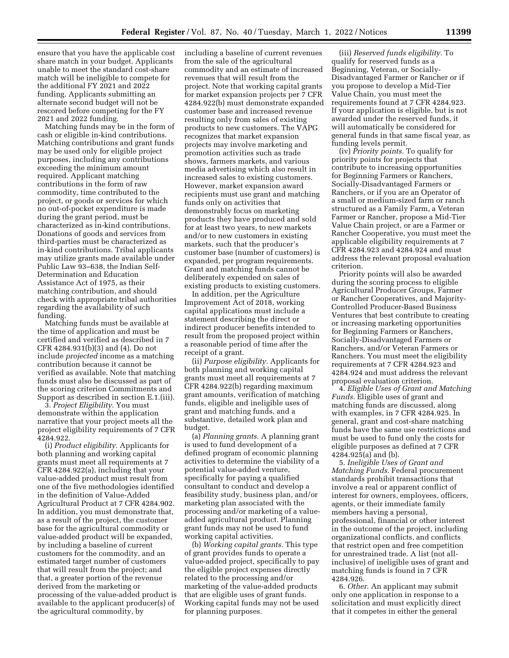ensure that you have the applicable cost share match in your budget. Applicants unable to meet the standard cost-share match will be ineligible to compete for the additional FY 2021 and 2022 funding. Applicants submitting an alternate second budget will not be rescored before competing for the FY 2021 and 2022 funding.

Matching funds may be in the form of cash or eligible in-kind contributions. Matching contributions and grant funds may be used only for eligible project purposes, including any contributions exceeding the minimum amount required. Applicant matching contributions in the form of raw commodity, time contributed to the project, or goods or services for which no out-of-pocket expenditure is made during the grant period, must be characterized as in-kind contributions. Donations of goods and services from third-parties must be characterized as in-kind contributions. Tribal applicants may utilize grants made available under Public Law 93–638, the Indian Self-Determination and Education Assistance Act of 1975, as their matching contribution, and should check with appropriate tribal authorities regarding the availability of such funding.

Matching funds must be available at the time of application and must be certified and verified as described in 7 CFR 4284.931(b)(3) and (4). Do not include *projected* income as a matching contribution because it cannot be verified as available. Note that matching funds must also be discussed as part of the scoring criterion Commitments and Support as described in section E.1.(iii).

3. *Project Eligibility.* You must demonstrate within the application narrative that your project meets all the project eligibility requirements of 7 CFR 4284.922.

(i) *Product eligibility.* Applicants for both planning and working capital grants must meet all requirements at 7 CFR 4284.922(a), including that your value-added product must result from one of the five methodologies identified in the definition of Value-Added Agricultural Product at 7 CFR 4284.902. In addition, you must demonstrate that, as a result of the project, the customer base for the agricultural commodity or value-added product will be expanded, by including a baseline of current customers for the commodity, and an estimated target number of customers that will result from the project; and that, a greater portion of the revenue derived from the marketing or processing of the value-added product is available to the applicant producer(s) of the agricultural commodity, by

including a baseline of current revenues from the sale of the agricultural commodity and an estimate of increased revenues that will result from the project. Note that working capital grants for market expansion projects per 7 CFR 4284.922(b) must demonstrate expanded customer base and increased revenue resulting only from sales of existing products to new customers. The VAPG recognizes that market expansion projects may involve marketing and promotion activities such as trade shows, farmers markets, and various media advertising which also result in increased sales to existing customers. However, market expansion award recipients must use grant and matching funds only on activities that demonstrably focus on marketing products they have produced and sold for at least two years, to new markets and/or to new customers in existing markets, such that the producer's customer base (number of customers) is expanded, per program requirements. Grant and matching funds cannot be deliberately expended on sales of existing products to existing customers.

In addition, per the Agriculture Improvement Act of 2018, working capital applications must include a statement describing the direct or indirect producer benefits intended to result from the proposed project within a reasonable period of time after the receipt of a grant.

(ii) *Purpose eligibility.* Applicants for both planning and working capital grants must meet all requirements at 7 CFR 4284.922(b) regarding maximum grant amounts, verification of matching funds, eligible and ineligible uses of grant and matching funds, and a substantive, detailed work plan and budget.

(a) *Planning grants.* A planning grant is used to fund development of a defined program of economic planning activities to determine the viability of a potential value-added venture, specifically for paying a qualified consultant to conduct and develop a feasibility study, business plan, and/or marketing plan associated with the processing and/or marketing of a valueadded agricultural product. Planning grant funds may not be used to fund working capital activities.

(b) *Working capital grants.* This type of grant provides funds to operate a value-added project, specifically to pay the eligible project expenses directly related to the processing and/or marketing of the value-added products that are eligible uses of grant funds. Working capital funds may not be used for planning purposes.

(iii) *Reserved funds eligibility.* To qualify for reserved funds as a Beginning, Veteran, or Socially-Disadvantaged Farmer or Rancher or if you propose to develop a Mid-Tier Value Chain, you must meet the requirements found at 7 CFR 4284.923. If your application is eligible, but is not awarded under the reserved funds, it will automatically be considered for general funds in that same fiscal year, as funding levels permit.

(iv) *Priority points.* To qualify for priority points for projects that contribute to increasing opportunities for Beginning Farmers or Ranchers, Socially-Disadvantaged Farmers or Ranchers, or if you are an Operator of a small or medium-sized farm or ranch structured as a Family Farm, a Veteran Farmer or Rancher, propose a Mid-Tier Value Chain project, or are a Farmer or Rancher Cooperative, you must meet the applicable eligibility requirements at 7 CFR 4284.923 and 4284.924 and must address the relevant proposal evaluation criterion.

Priority points will also be awarded during the scoring process to eligible Agricultural Producer Groups, Farmer or Rancher Cooperatives, and Majority-Controlled Producer-Based Business Ventures that best contribute to creating or increasing marketing opportunities for Beginning Farmers or Ranchers, Socially-Disadvantaged Farmers or Ranchers, and/or Veteran Farmers or Ranchers. You must meet the eligibility requirements at 7 CFR 4284.923 and 4284.924 and must address the relevant proposal evaluation criterion.

4. *Eligible Uses of Grant and Matching Funds.* Eligible uses of grant and matching funds are discussed, along with examples, in 7 CFR 4284.925. In general, grant and cost-share matching funds have the same use restrictions and must be used to fund only the costs for eligible purposes as defined at 7 CFR 4284.925(a) and (b).

5. *Ineligible Uses of Grant and Matching Funds.* Federal procurement standards prohibit transactions that involve a real or apparent conflict of interest for owners, employees, officers, agents, or their immediate family members having a personal, professional, financial or other interest in the outcome of the project, including organizational conflicts, and conflicts that restrict open and free competition for unrestrained trade. A list (not allinclusive) of ineligible uses of grant and matching funds is found in 7 CFR 4284.926.

6. *Other*. An applicant may submit only one application in response to a solicitation and must explicitly direct that it competes in either the general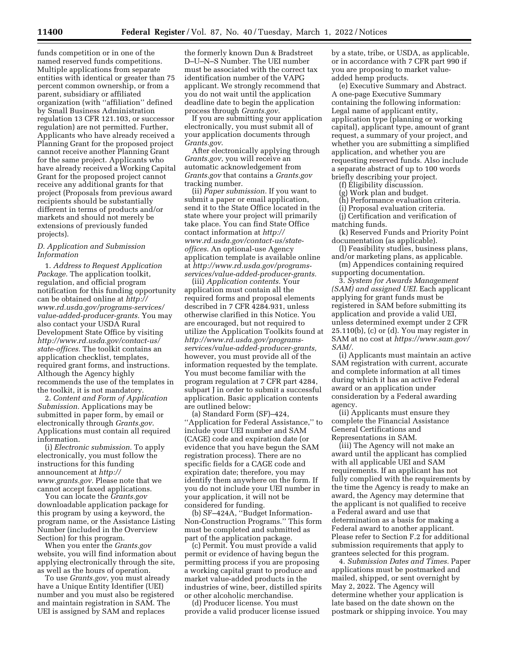funds competition or in one of the named reserved funds competitions. Multiple applications from separate entities with identical or greater than 75 percent common ownership, or from a parent, subsidiary or affiliated organization (with ''affiliation'' defined by Small Business Administration regulation 13 CFR 121.103, or successor regulation) are not permitted. Further, Applicants who have already received a Planning Grant for the proposed project cannot receive another Planning Grant for the same project. Applicants who have already received a Working Capital Grant for the proposed project cannot receive any additional grants for that project (Proposals from previous award recipients should be substantially different in terms of products and/or markets and should not merely be extensions of previously funded projects).

# *D. Application and Submission Information*

1. *Address to Request Application Package.* The application toolkit, regulation, and official program notification for this funding opportunity can be obtained online at *[http://](http://www.rd.usda.gov/programs-services/value-added-producer-grants) [www.rd.usda.gov/programs-services/](http://www.rd.usda.gov/programs-services/value-added-producer-grants)  [value-added-producer-grants.](http://www.rd.usda.gov/programs-services/value-added-producer-grants)* You may also contact your USDA Rural Development State Office by visiting *[http://www.rd.usda.gov/contact-us/](http://www.rd.usda.gov/contact-us/state-offices)  [state-offices.](http://www.rd.usda.gov/contact-us/state-offices)* The toolkit contains an application checklist, templates, required grant forms, and instructions. Although the Agency highly recommends the use of the templates in the toolkit, it is not mandatory.

2. *Content and Form of Application Submission.* Applications may be submitted in paper form, by email or electronically through *[Grants.gov](http://www.grants.gov)*. Applications must contain all required information.

(i) *Electronic submission.* To apply electronically, you must follow the instructions for this funding announcement at *[http://](http://www.grants.gov) [www.grants.gov.](http://www.grants.gov)* Please note that we cannot accept faxed applications.

You can locate the *[Grants.gov](http://www.grants.gov)*  downloadable application package for this program by using a keyword, the program name, or the Assistance Listing Number (included in the Overview Section) for this program.

When you enter the *Grants.gov*  website, you will find information about applying electronically through the site, as well as the hours of operation.

To use *Grants.gov*, you must already have a Unique Entity Identifier (UEI) number and you must also be registered and maintain registration in SAM. The UEI is assigned by SAM and replaces

the formerly known Dun & Bradstreet D–U–N–S Number. The UEI number must be associated with the correct tax identification number of the VAPG applicant. We strongly recommend that you do not wait until the application deadline date to begin the application process through *Grants.gov*.

If you are submitting your application electronically, you must submit all of your application documents through *Grants.gov*.

After electronically applying through *Grants.gov*, you will receive an automatic acknowledgement from *Grants.gov* that contains a *Grants.gov*  tracking number.

(ii) *Paper submission.* If you want to submit a paper or email application, send it to the State Office located in the state where your project will primarily take place. You can find State Office contact information at *[http://](http://www.rd.usda.gov/contact-us/state-offices) [www.rd.usda.gov/contact-us/state](http://www.rd.usda.gov/contact-us/state-offices)[offices](http://www.rd.usda.gov/contact-us/state-offices)*. An optional-use Agency application template is available online at *[http://www.rd.usda.gov/programs](http://www.rd.usda.gov/programs-services/value-added-producer-grants)[services/value-added-producer-grants.](http://www.rd.usda.gov/programs-services/value-added-producer-grants)* 

(iii) *Application contents.* Your application must contain all the required forms and proposal elements described in 7 CFR 4284.931, unless otherwise clarified in this Notice. You are encouraged, but not required to utilize the Application Toolkits found at *[http://www.rd.usda.gov/programs](http://www.rd.usda.gov/programs-services/value-added-producer-grants)[services/value-added-producer-grants,](http://www.rd.usda.gov/programs-services/value-added-producer-grants)*  however, you must provide all of the information requested by the template. You must become familiar with the program regulation at 7 CFR part 4284, subpart J in order to submit a successful application. Basic application contents are outlined below:

(a) Standard Form (SF)–424, ''Application for Federal Assistance,'' to include your UEI number and SAM (CAGE) code and expiration date (or evidence that you have begun the SAM registration process). There are no specific fields for a CAGE code and expiration date; therefore, you may identify them anywhere on the form. If you do not include your UEI number in your application, it will not be considered for funding.

(b) SF–424A, ''Budget Information-Non-Construction Programs.'' This form must be completed and submitted as part of the application package.

(c) Permit. You must provide a valid permit or evidence of having begun the permitting process if you are proposing a working capital grant to produce and market value-added products in the industries of wine, beer, distilled spirits or other alcoholic merchandise.

(d) Producer license. You must provide a valid producer license issued by a state, tribe, or USDA, as applicable, or in accordance with 7 CFR part 990 if you are proposing to market valueadded hemp products.

(e) Executive Summary and Abstract. A one-page Executive Summary containing the following information: Legal name of applicant entity, application type (planning or working capital), applicant type, amount of grant request, a summary of your project, and whether you are submitting a simplified application, and whether you are requesting reserved funds. Also include a separate abstract of up to 100 words briefly describing your project.

(f) Eligibility discussion.

(g) Work plan and budget.

(h) Performance evaluation criteria.

(i) Proposal evaluation criteria.

(j) Certification and verification of matching funds.

(k) Reserved Funds and Priority Point documentation (as applicable).

(l) Feasibility studies, business plans, and/or marketing plans, as applicable.

(m) Appendices containing required supporting documentation.

3. *System for Awards Management (SAM) and assigned UEI.* Each applicant applying for grant funds must be registered in SAM before submitting its application and provide a valid UEI, unless determined exempt under 2 CFR 25.110(b), (c) or (d). You may register in SAM at no cost at *[https://www.sam.gov/](https://www.sam.gov/SAM/)  [SAM/.](https://www.sam.gov/SAM/)* 

(i) Applicants must maintain an active SAM registration with current, accurate and complete information at all times during which it has an active Federal award or an application under consideration by a Federal awarding agency.

(ii) Applicants must ensure they complete the Financial Assistance General Certifications and Representations in SAM.

(iii) The Agency will not make an award until the applicant has complied with all applicable UEI and SAM requirements. If an applicant has not fully complied with the requirements by the time the Agency is ready to make an award, the Agency may determine that the applicant is not qualified to receive a Federal award and use that determination as a basis for making a Federal award to another applicant. Please refer to Section F.2 for additional submission requirements that apply to grantees selected for this program.

4. *Submission Dates and Times.* Paper applications must be postmarked and mailed, shipped, or sent overnight by May 2, 2022. The Agency will determine whether your application is late based on the date shown on the postmark or shipping invoice. You may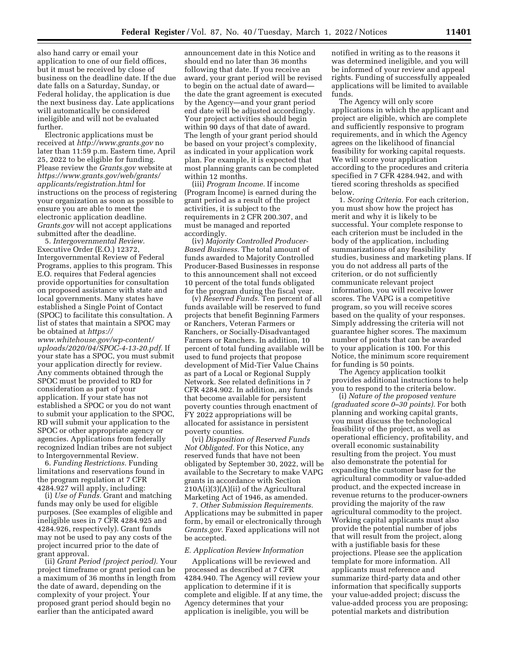also hand carry or email your application to one of our field offices, but it must be received by close of business on the deadline date. If the due date falls on a Saturday, Sunday, or Federal holiday, the application is due the next business day. Late applications will automatically be considered ineligible and will not be evaluated further.

Electronic applications must be received at *<http://www.grants.gov>* no later than 11:59 p.m. Eastern time, April 25, 2022 to be eligible for funding. Please review the *Grants.gov* website at *[https://www.grants.gov/web/grants/](https://www.grants.gov/web/grants/applicants/registration.html) [applicants/registration.html](https://www.grants.gov/web/grants/applicants/registration.html)* for instructions on the process of registering your organization as soon as possible to ensure you are able to meet the electronic application deadline. *Grants.gov* will not accept applications submitted after the deadline.

5. *Intergovernmental Review.*  Executive Order (E.O.) 12372, Intergovernmental Review of Federal Programs, applies to this program. This E.O. requires that Federal agencies provide opportunities for consultation on proposed assistance with state and local governments. Many states have established a Single Point of Contact (SPOC) to facilitate this consultation. A list of states that maintain a SPOC may be obtained at *[https://](https://www.whitehouse.gov/wp-content/uploads/2020/04/SPOC-4-13-20.pdf)*

*[www.whitehouse.gov/wp-content/](https://www.whitehouse.gov/wp-content/uploads/2020/04/SPOC-4-13-20.pdf) [uploads/2020/04/SPOC-4-13-20.pdf.](https://www.whitehouse.gov/wp-content/uploads/2020/04/SPOC-4-13-20.pdf)* If your state has a SPOC, you must submit your application directly for review. Any comments obtained through the SPOC must be provided to RD for consideration as part of your application. If your state has not established a SPOC or you do not want to submit your application to the SPOC, RD will submit your application to the SPOC or other appropriate agency or agencies. Applications from federally recognized Indian tribes are not subject to Intergovernmental Review.

6. *Funding Restrictions.* Funding limitations and reservations found in the program regulation at 7 CFR 4284.927 will apply, including:

(i) *Use of Funds.* Grant and matching funds may only be used for eligible purposes. (See examples of eligible and ineligible uses in 7 CFR 4284.925 and 4284.926, respectively). Grant funds may not be used to pay any costs of the project incurred prior to the date of grant approval.

(ii) *Grant Period (project period).* Your project timeframe or grant period can be a maximum of 36 months in length from the date of award, depending on the complexity of your project. Your proposed grant period should begin no earlier than the anticipated award

announcement date in this Notice and should end no later than 36 months following that date. If you receive an award, your grant period will be revised to begin on the actual date of award the date the grant agreement is executed by the Agency—and your grant period end date will be adjusted accordingly. Your project activities should begin within 90 days of that date of award. The length of your grant period should be based on your project's complexity, as indicated in your application work plan. For example, it is expected that most planning grants can be completed within 12 months.

(iii) *Program Income.* If income (Program Income) is earned during the grant period as a result of the project activities, it is subject to the requirements in 2 CFR 200.307, and must be managed and reported accordingly.

(iv) *Majority Controlled Producer-Based Business.* The total amount of funds awarded to Majority Controlled Producer-Based Businesses in response to this announcement shall not exceed 10 percent of the total funds obligated for the program during the fiscal year.

(v) *Reserved Funds.* Ten percent of all funds available will be reserved to fund projects that benefit Beginning Farmers or Ranchers, Veteran Farmers or Ranchers, or Socially-Disadvantaged Farmers or Ranchers. In addition, 10 percent of total funding available will be used to fund projects that propose development of Mid-Tier Value Chains as part of a Local or Regional Supply Network. See related definitions in 7 CFR 4284.902. In addition, any funds that become available for persistent poverty counties through enactment of FY 2022 appropriations will be allocated for assistance in persistent poverty counties.

(vi) *Disposition of Reserved Funds Not Obligated.* For this Notice, any reserved funds that have not been obligated by September 30, 2022, will be available to the Secretary to make VAPG grants in accordance with Section 210A(i)(3)(A)(ii) of the Agricultural Marketing Act of 1946, as amended.

7. *Other Submission Requirements.*  Applications may be submitted in paper form, by email or electronically through *Grants.gov*. Faxed applications will not be accepted.

#### *E. Application Review Information*

Applications will be reviewed and processed as described at 7 CFR 4284.940. The Agency will review your application to determine if it is complete and eligible. If at any time, the Agency determines that your application is ineligible, you will be

notified in writing as to the reasons it was determined ineligible, and you will be informed of your review and appeal rights. Funding of successfully appealed applications will be limited to available funds.

The Agency will only score applications in which the applicant and project are eligible, which are complete and sufficiently responsive to program requirements, and in which the Agency agrees on the likelihood of financial feasibility for working capital requests. We will score your application according to the procedures and criteria specified in 7 CFR 4284.942, and with tiered scoring thresholds as specified below.

1. *Scoring Criteria.* For each criterion, you must show how the project has merit and why it is likely to be successful. Your complete response to each criterion must be included in the body of the application, including summarizations of any feasibility studies, business and marketing plans. If you do not address all parts of the criterion, or do not sufficiently communicate relevant project information, you will receive lower scores. The VAPG is a competitive program, so you will receive scores based on the quality of your responses. Simply addressing the criteria will not guarantee higher scores. The maximum number of points that can be awarded to your application is 100. For this Notice, the minimum score requirement for funding is 50 points.

The Agency application toolkit provides additional instructions to help you to respond to the criteria below.

(i) *Nature of the proposed venture (graduated score 0–30 points).* For both planning and working capital grants, you must discuss the technological feasibility of the project, as well as operational efficiency, profitability, and overall economic sustainability resulting from the project. You must also demonstrate the potential for expanding the customer base for the agricultural commodity or value-added product, and the expected increase in revenue returns to the producer-owners providing the majority of the raw agricultural commodity to the project. Working capital applicants must also provide the potential number of jobs that will result from the project, along with a justifiable basis for these projections. Please see the application template for more information. All applicants must reference and summarize third-party data and other information that specifically supports your value-added project; discuss the value-added process you are proposing; potential markets and distribution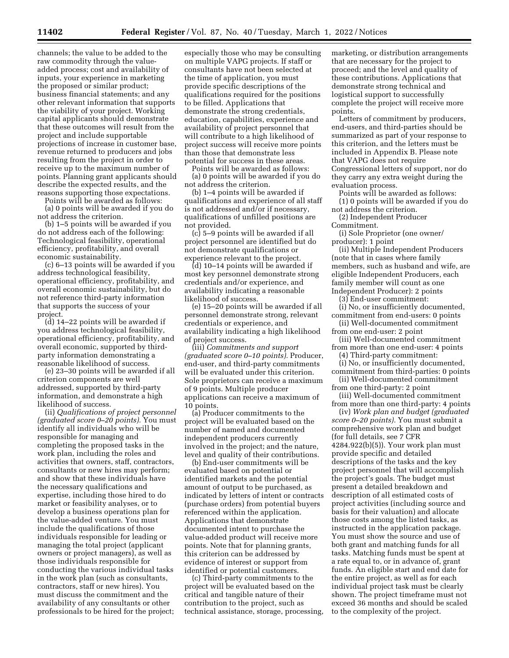channels; the value to be added to the raw commodity through the valueadded process; cost and availability of inputs, your experience in marketing the proposed or similar product; business financial statements; and any other relevant information that supports the viability of your project. Working capital applicants should demonstrate that these outcomes will result from the project and include supportable projections of increase in customer base, revenue returned to producers and jobs resulting from the project in order to receive up to the maximum number of points. Planning grant applicants should describe the expected results, and the reasons supporting those expectations.

Points will be awarded as follows: (a) 0 points will be awarded if you do not address the criterion.

(b) 1–5 points will be awarded if you do not address each of the following: Technological feasibility, operational efficiency, profitability, and overall economic sustainability.

(c) 6–13 points will be awarded if you address technological feasibility, operational efficiency, profitability, and overall economic sustainability, but do not reference third-party information that supports the success of your project.

(d) 14–22 points will be awarded if you address technological feasibility, operational efficiency, profitability, and overall economic, supported by thirdparty information demonstrating a reasonable likelihood of success.

(e) 23–30 points will be awarded if all criterion components are well addressed, supported by third-party information, and demonstrate a high likelihood of success.

(ii) *Qualifications of project personnel (graduated score 0–20 points).* You must identify all individuals who will be responsible for managing and completing the proposed tasks in the work plan, including the roles and activities that owners, staff, contractors, consultants or new hires may perform; and show that these individuals have the necessary qualifications and expertise, including those hired to do market or feasibility analyses, or to develop a business operations plan for the value-added venture. You must include the qualifications of those individuals responsible for leading or managing the total project (applicant owners or project managers), as well as those individuals responsible for conducting the various individual tasks in the work plan (such as consultants, contractors, staff or new hires). You must discuss the commitment and the availability of any consultants or other professionals to be hired for the project;

especially those who may be consulting on multiple VAPG projects. If staff or consultants have not been selected at the time of application, you must provide specific descriptions of the qualifications required for the positions to be filled. Applications that demonstrate the strong credentials, education, capabilities, experience and availability of project personnel that will contribute to a high likelihood of project success will receive more points than those that demonstrate less potential for success in these areas.

Points will be awarded as follows: (a) 0 points will be awarded if you do not address the criterion.

(b) 1–4 points will be awarded if qualifications and experience of all staff is not addressed and/or if necessary, qualifications of unfilled positions are not provided.

(c) 5–9 points will be awarded if all project personnel are identified but do not demonstrate qualifications or experience relevant to the project.

(d) 10–14 points will be awarded if most key personnel demonstrate strong credentials and/or experience, and availability indicating a reasonable likelihood of success.

(e) 15–20 points will be awarded if all personnel demonstrate strong, relevant credentials or experience, and availability indicating a high likelihood of project success.

(iii) *Commitments and support (graduated score 0–10 points).* Producer, end-user, and third-party commitments will be evaluated under this criterion. Sole proprietors can receive a maximum of 9 points. Multiple producer applications can receive a maximum of 10 points.

(a) Producer commitments to the project will be evaluated based on the number of named and documented independent producers currently involved in the project; and the nature, level and quality of their contributions.

(b) End-user commitments will be evaluated based on potential or identified markets and the potential amount of output to be purchased, as indicated by letters of intent or contracts (purchase orders) from potential buyers referenced within the application. Applications that demonstrate documented intent to purchase the value-added product will receive more points. Note that for planning grants, this criterion can be addressed by evidence of interest or support from identified or potential customers.

(c) Third-party commitments to the project will be evaluated based on the critical and tangible nature of their contribution to the project, such as technical assistance, storage, processing, marketing, or distribution arrangements that are necessary for the project to proceed; and the level and quality of these contributions. Applications that demonstrate strong technical and logistical support to successfully complete the project will receive more points.

Letters of commitment by producers, end-users, and third-parties should be summarized as part of your response to this criterion, and the letters must be included in Appendix B. Please note that VAPG does not require Congressional letters of support, nor do they carry any extra weight during the evaluation process.

Points will be awarded as follows: (1) 0 points will be awarded if you do not address the criterion.

(2) Independent Producer Commitment.

(i) Sole Proprietor (one owner/ producer): 1 point

(ii) Multiple Independent Producers (note that in cases where family members, such as husband and wife, are eligible Independent Producers, each family member will count as one Independent Producer): 2 points

(3) End-user commitment: (i) No, or insufficiently documented, commitment from end-users: 0 points

- (ii) Well-documented commitment from one end-user: 2 point
- (iii) Well-documented commitment
- from more than one end-user: 4 points (4) Third-party commitment:
- (i) No, or insufficiently documented, commitment from third-parties: 0 points
- (ii) Well-documented commitment from one third-party: 2 point

(iii) Well-documented commitment from more than one third-party: 4 points

(iv) *Work plan and budget (graduated score 0–20 points).* You must submit a comprehensive work plan and budget (for full details, see 7 CFR 4284.922(b)(5)). Your work plan must provide specific and detailed descriptions of the tasks and the key project personnel that will accomplish the project's goals. The budget must present a detailed breakdown and description of all estimated costs of project activities (including source and basis for their valuation) and allocate those costs among the listed tasks, as instructed in the application package. You must show the source and use of both grant and matching funds for all tasks. Matching funds must be spent at a rate equal to, or in advance of, grant funds. An eligible start and end date for the entire project, as well as for each individual project task must be clearly shown. The project timeframe must not exceed 36 months and should be scaled to the complexity of the project.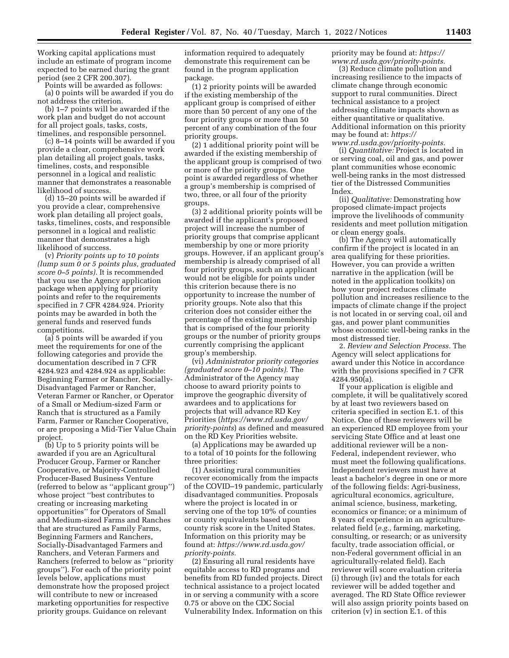Working capital applications must include an estimate of program income expected to be earned during the grant period (see 2 CFR 200.307).

Points will be awarded as follows:

(a) 0 points will be awarded if you do not address the criterion.

(b) 1–7 points will be awarded if the work plan and budget do not account for all project goals, tasks, costs, timelines, and responsible personnel.

(c) 8–14 points will be awarded if you provide a clear, comprehensive work plan detailing all project goals, tasks, timelines, costs, and responsible personnel in a logical and realistic manner that demonstrates a reasonable likelihood of success.

(d) 15–20 points will be awarded if you provide a clear, comprehensive work plan detailing all project goals, tasks, timelines, costs, and responsible personnel in a logical and realistic manner that demonstrates a high likelihood of success.

(v) *Priority points up to 10 points (lump sum 0 or 5 points plus, graduated score 0–5 points).* It is recommended that you use the Agency application package when applying for priority points and refer to the requirements specified in 7 CFR 4284.924. Priority points may be awarded in both the general funds and reserved funds competitions.

(a) 5 points will be awarded if you meet the requirements for one of the following categories and provide the documentation described in 7 CFR 4284.923 and 4284.924 as applicable: Beginning Farmer or Rancher, Socially-Disadvantaged Farmer or Rancher, Veteran Farmer or Rancher, or Operator of a Small or Medium-sized Farm or Ranch that is structured as a Family Farm, Farmer or Rancher Cooperative, or are proposing a Mid-Tier Value Chain project.

(b) Up to 5 priority points will be awarded if you are an Agricultural Producer Group, Farmer or Rancher Cooperative, or Majority-Controlled Producer-Based Business Venture (referred to below as ''applicant group'') whose project ''best contributes to creating or increasing marketing opportunities'' for Operators of Small and Medium-sized Farms and Ranches that are structured as Family Farms, Beginning Farmers and Ranchers, Socially-Disadvantaged Farmers and Ranchers, and Veteran Farmers and Ranchers (referred to below as ''priority groups''). For each of the priority point levels below, applications must demonstrate how the proposed project will contribute to new or increased marketing opportunities for respective priority groups. Guidance on relevant

information required to adequately demonstrate this requirement can be found in the program application package.

(1) 2 priority points will be awarded if the existing membership of the applicant group is comprised of either more than 50 percent of any one of the four priority groups or more than 50 percent of any combination of the four priority groups.

(2) 1 additional priority point will be awarded if the existing membership of the applicant group is comprised of two or more of the priority groups. One point is awarded regardless of whether a group's membership is comprised of two, three, or all four of the priority groups.

(3) 2 additional priority points will be awarded if the applicant's proposed project will increase the number of priority groups that comprise applicant membership by one or more priority groups. However, if an applicant group's membership is already comprised of all four priority groups, such an applicant would not be eligible for points under this criterion because there is no opportunity to increase the number of priority groups. Note also that this criterion does not consider either the percentage of the existing membership that is comprised of the four priority groups or the number of priority groups currently comprising the applicant group's membership.

(vi) *Administrator priority categories (graduated score 0–10 points).* The Administrator of the Agency may choose to award priority points to improve the geographic diversity of awardees and to applications for projects that will advance RD Key Priorities (*[https://www.rd.usda.gov/](https://www.rd.usda.gov/priority-points)  [priority-points](https://www.rd.usda.gov/priority-points)*) as defined and measured on the RD Key Priorities website.

(a) Applications may be awarded up to a total of 10 points for the following three priorities:

(1) Assisting rural communities recover economically from the impacts of the COVID–19 pandemic, particularly disadvantaged communities. Proposals where the project is located in or serving one of the top 10% of counties or county equivalents based upon county risk score in the United States. Information on this priority may be found at: *[https://www.rd.usda.gov/](https://www.rd.usda.gov/priority-points)  [priority-points.](https://www.rd.usda.gov/priority-points)* 

(2) Ensuring all rural residents have equitable access to RD programs and benefits from RD funded projects. Direct technical assistance to a project located in or serving a community with a score 0.75 or above on the CDC Social Vulnerability Index. Information on this

priority may be found at: *[https://](https://www.rd.usda.gov/priority-points) [www.rd.usda.gov/priority-points.](https://www.rd.usda.gov/priority-points)* 

(3) Reduce climate pollution and increasing resilience to the impacts of climate change through economic support to rural communities. Direct technical assistance to a project addressing climate impacts shown as either quantitative or qualitative. Additional information on this priority may be found at: *[https://](https://www.rd.usda.gov/priority-points) [www.rd.usda.gov/priority-points.](https://www.rd.usda.gov/priority-points)* 

(i) *Quantitative:* Project is located in or serving coal, oil and gas, and power plant communities whose economic well-being ranks in the most distressed tier of the Distressed Communities Index.

(ii) *Qualitative:* Demonstrating how proposed climate-impact projects improve the livelihoods of community residents and meet pollution mitigation or clean energy goals.

(b) The Agency will automatically confirm if the project is located in an area qualifying for these priorities. However, you can provide a written narrative in the application (will be noted in the application toolkits) on how your project reduces climate pollution and increases resilience to the impacts of climate change if the project is not located in or serving coal, oil and gas, and power plant communities whose economic well-being ranks in the most distressed tier.

2. *Review and Selection Process.* The Agency will select applications for award under this Notice in accordance with the provisions specified in 7 CFR 4284.950(a).

If your application is eligible and complete, it will be qualitatively scored by at least two reviewers based on criteria specified in section E.1. of this Notice. One of these reviewers will be an experienced RD employee from your servicing State Office and at least one additional reviewer will be a non-Federal, independent reviewer, who must meet the following qualifications. Independent reviewers must have at least a bachelor's degree in one or more of the following fields: Agri-business, agricultural economics, agriculture, animal science, business, marketing, economics or finance; or a minimum of 8 years of experience in an agriculturerelated field (*e.g.,* farming, marketing, consulting, or research; or as university faculty, trade association official, or non-Federal government official in an agriculturally-related field). Each reviewer will score evaluation criteria (i) through (iv) and the totals for each reviewer will be added together and averaged. The RD State Office reviewer will also assign priority points based on criterion (v) in section E.1. of this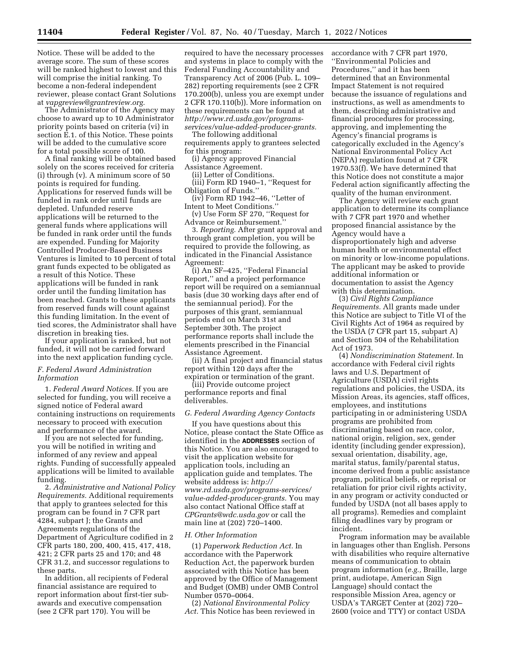Notice. These will be added to the average score. The sum of these scores will be ranked highest to lowest and this will comprise the initial ranking. To become a non-federal independent reviewer, please contact Grant Solutions at *[vapgreview@grantreview.org.](mailto:vapgreview@grantreview.org)* 

The Administrator of the Agency may choose to award up to 10 Administrator priority points based on criteria (vi) in section E.1. of this Notice. These points will be added to the cumulative score for a total possible score of 100.

A final ranking will be obtained based solely on the scores received for criteria (i) through (v). A minimum score of 50 points is required for funding. Applications for reserved funds will be funded in rank order until funds are depleted. Unfunded reserve applications will be returned to the general funds where applications will be funded in rank order until the funds are expended. Funding for Majority Controlled Producer-Based Business Ventures is limited to 10 percent of total grant funds expected to be obligated as a result of this Notice. These applications will be funded in rank order until the funding limitation has been reached. Grants to these applicants from reserved funds will count against this funding limitation. In the event of tied scores, the Administrator shall have discretion in breaking ties.

If your application is ranked, but not funded, it will not be carried forward into the next application funding cycle.

# *F. Federal Award Administration Information*

1. *Federal Award Notices.* If you are selected for funding, you will receive a signed notice of Federal award containing instructions on requirements necessary to proceed with execution and performance of the award.

If you are not selected for funding, you will be notified in writing and informed of any review and appeal rights. Funding of successfully appealed applications will be limited to available funding.

2. *Administrative and National Policy Requirements.* Additional requirements that apply to grantees selected for this program can be found in 7 CFR part 4284, subpart J; the Grants and Agreements regulations of the Department of Agriculture codified in 2 CFR parts 180, 200, 400, 415, 417, 418, 421; 2 CFR parts 25 and 170; and 48 CFR 31.2, and successor regulations to these parts.

In addition, all recipients of Federal financial assistance are required to report information about first-tier subawards and executive compensation (see 2 CFR part 170). You will be

required to have the necessary processes and systems in place to comply with the Federal Funding Accountability and Transparency Act of 2006 (Pub. L. 109– 282) reporting requirements (see 2 CFR 170.200(b), unless you are exempt under 2 CFR 170.110(b)). More information on these requirements can be found at *[http://www.rd.usda.gov/programs](http://www.rd.usda.gov/programs-services/value-added-producer-grants)[services/value-added-producer-grants.](http://www.rd.usda.gov/programs-services/value-added-producer-grants)* 

The following additional requirements apply to grantees selected for this program:

(i) Agency approved Financial

Assistance Agreement.

(ii) Letter of Conditions.

(iii) Form RD 1940–1, ''Request for Obligation of Funds.''

(iv) Form RD 1942–46, ''Letter of Intent to Meet Conditions.''

(v) Use Form SF 270, ''Request for Advance or Reimbursement.''

3. *Reporting.* After grant approval and through grant completion, you will be required to provide the following, as indicated in the Financial Assistance Agreement:

(i) An SF–425, ''Federal Financial Report,'' and a project performance report will be required on a semiannual basis (due 30 working days after end of the semiannual period). For the purposes of this grant, semiannual periods end on March 31st and September 30th. The project performance reports shall include the elements prescribed in the Financial Assistance Agreement.

(ii) A final project and financial status report within 120 days after the expiration or termination of the grant.

(iii) Provide outcome project performance reports and final deliverables.

#### *G. Federal Awarding Agency Contacts*

If you have questions about this Notice, please contact the State Office as identified in the **ADDRESSES** section of this Notice. You are also encouraged to visit the application website for application tools, including an application guide and templates. The website address is: *[http://](http://www.rd.usda.gov/programs-services/value-added-producer-grants) [www.rd.usda.gov/programs-services/](http://www.rd.usda.gov/programs-services/value-added-producer-grants)  [value-added-producer-grants.](http://www.rd.usda.gov/programs-services/value-added-producer-grants)* You may also contact National Office staff at *[CPGrants@wdc.usda.gov](mailto:CPGrants@wdc.usda.gov)* or call the main line at (202) 720–1400.

### *H. Other Information*

(1) *Paperwork Reduction Act.* In accordance with the Paperwork Reduction Act, the paperwork burden associated with this Notice has been approved by the Office of Management and Budget (OMB) under OMB Control Number 0570–0064.

(2) *National Environmental Policy Act.* This Notice has been reviewed in accordance with 7 CFR part 1970, ''Environmental Policies and Procedures,'' and it has been determined that an Environmental Impact Statement is not required because the issuance of regulations and instructions, as well as amendments to them, describing administrative and financial procedures for processing, approving, and implementing the Agency's financial programs is categorically excluded in the Agency's National Environmental Policy Act (NEPA) regulation found at 7 CFR 1970.53(f). We have determined that this Notice does not constitute a major Federal action significantly affecting the quality of the human environment.

The Agency will review each grant application to determine its compliance with 7 CFR part 1970 and whether proposed financial assistance by the Agency would have a disproportionately high and adverse human health or environmental effect on minority or low-income populations. The applicant may be asked to provide additional information or documentation to assist the Agency with this determination.

(3) *Civil Rights Compliance Requirements.* All grants made under this Notice are subject to Title VI of the Civil Rights Act of 1964 as required by the USDA (7 CFR part 15, subpart A) and Section 504 of the Rehabilitation Act of 1973.

(4) *Nondiscrimination Statement.* In accordance with Federal civil rights laws and U.S. Department of Agriculture (USDA) civil rights regulations and policies, the USDA, its Mission Areas, its agencies, staff offices, employees, and institutions participating in or administering USDA programs are prohibited from discriminating based on race, color, national origin, religion, sex, gender identity (including gender expression), sexual orientation, disability, age, marital status, family/parental status, income derived from a public assistance program, political beliefs, or reprisal or retaliation for prior civil rights activity, in any program or activity conducted or funded by USDA (not all bases apply to all programs). Remedies and complaint filing deadlines vary by program or incident.

Program information may be available in languages other than English. Persons with disabilities who require alternative means of communication to obtain program information (*e.g.,* Braille, large print, audiotape, American Sign Language) should contact the responsible Mission Area, agency or USDA's TARGET Center at (202) 720– 2600 (voice and TTY) or contact USDA